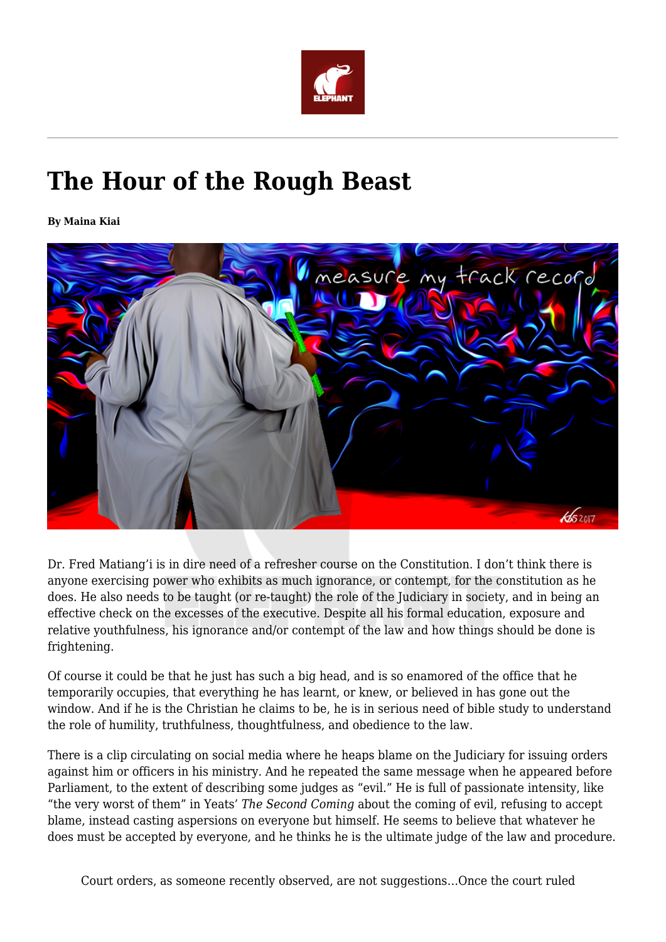

## **The Hour of the Rough Beast**

**By Maina Kiai**



Dr. Fred Matiang'i is in dire need of a refresher course on the Constitution. I don't think there is anyone exercising power who exhibits as much ignorance, or contempt, for the constitution as he does. He also needs to be taught (or re-taught) the role of the Judiciary in society, and in being an effective check on the excesses of the executive. Despite all his formal education, exposure and relative youthfulness, his ignorance and/or contempt of the law and how things should be done is frightening.

Of course it could be that he just has such a big head, and is so enamored of the office that he temporarily occupies, that everything he has learnt, or knew, or believed in has gone out the window. And if he is the Christian he claims to be, he is in serious need of bible study to understand the role of humility, truthfulness, thoughtfulness, and obedience to the law.

There is a clip circulating on social media where he heaps blame on the Judiciary for issuing orders against him or officers in his ministry. And he repeated the same message when he appeared before Parliament, to the extent of describing some judges as "evil." He is full of passionate intensity, like "the very worst of them" in Yeats' *The Second Coming* about the coming of evil, refusing to accept blame, instead casting aspersions on everyone but himself. He seems to believe that whatever he does must be accepted by everyone, and he thinks he is the ultimate judge of the law and procedure.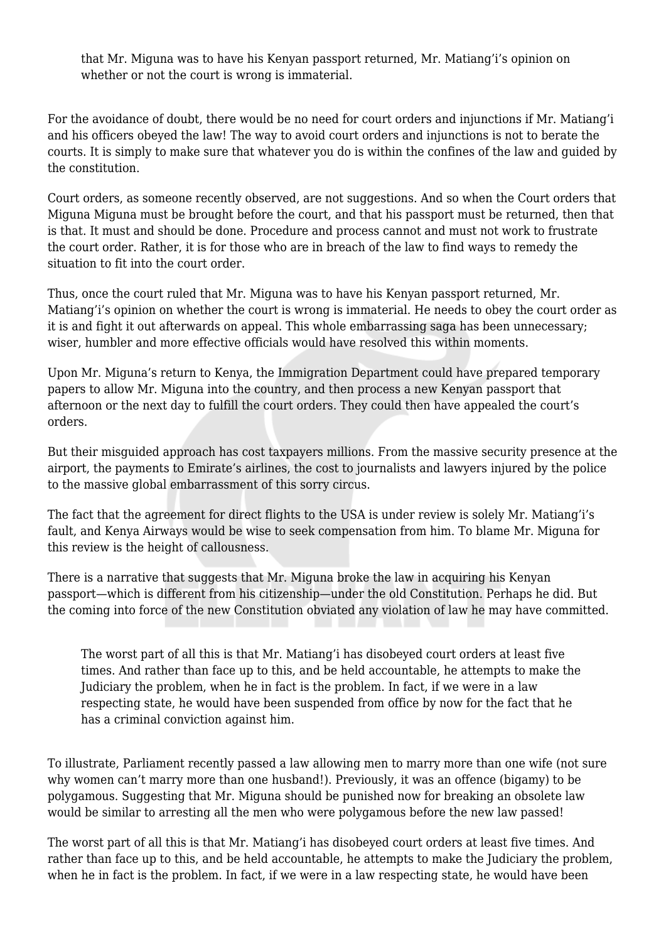that Mr. Miguna was to have his Kenyan passport returned, Mr. Matiang'i's opinion on whether or not the court is wrong is immaterial.

For the avoidance of doubt, there would be no need for court orders and injunctions if Mr. Matiang'i and his officers obeyed the law! The way to avoid court orders and injunctions is not to berate the courts. It is simply to make sure that whatever you do is within the confines of the law and guided by the constitution.

Court orders, as someone recently observed, are not suggestions. And so when the Court orders that Miguna Miguna must be brought before the court, and that his passport must be returned, then that is that. It must and should be done. Procedure and process cannot and must not work to frustrate the court order. Rather, it is for those who are in breach of the law to find ways to remedy the situation to fit into the court order.

Thus, once the court ruled that Mr. Miguna was to have his Kenyan passport returned, Mr. Matiang'i's opinion on whether the court is wrong is immaterial. He needs to obey the court order as it is and fight it out afterwards on appeal. This whole embarrassing saga has been unnecessary; wiser, humbler and more effective officials would have resolved this within moments.

Upon Mr. Miguna's return to Kenya, the Immigration Department could have prepared temporary papers to allow Mr. Miguna into the country, and then process a new Kenyan passport that afternoon or the next day to fulfill the court orders. They could then have appealed the court's orders.

But their misguided approach has cost taxpayers millions. From the massive security presence at the airport, the payments to Emirate's airlines, the cost to journalists and lawyers injured by the police to the massive global embarrassment of this sorry circus.

The fact that the agreement for direct flights to the USA is under review is solely Mr. Matiang'i's fault, and Kenya Airways would be wise to seek compensation from him. To blame Mr. Miguna for this review is the height of callousness.

There is a narrative that suggests that Mr. Miguna broke the law in acquiring his Kenyan passport—which is different from his citizenship—under the old Constitution. Perhaps he did. But the coming into force of the new Constitution obviated any violation of law he may have committed.

The worst part of all this is that Mr. Matiang'i has disobeyed court orders at least five times. And rather than face up to this, and be held accountable, he attempts to make the Judiciary the problem, when he in fact is the problem. In fact, if we were in a law respecting state, he would have been suspended from office by now for the fact that he has a criminal conviction against him.

To illustrate, Parliament recently passed a law allowing men to marry more than one wife (not sure why women can't marry more than one husband!). Previously, it was an offence (bigamy) to be polygamous. Suggesting that Mr. Miguna should be punished now for breaking an obsolete law would be similar to arresting all the men who were polygamous before the new law passed!

The worst part of all this is that Mr. Matiang'i has disobeyed court orders at least five times. And rather than face up to this, and be held accountable, he attempts to make the Judiciary the problem, when he in fact is the problem. In fact, if we were in a law respecting state, he would have been